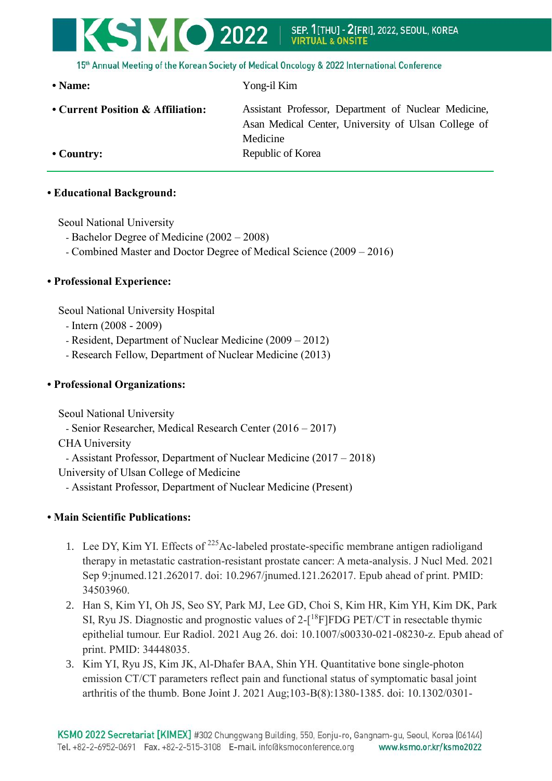## KSMO 2022 SEP. 1[THU] - 2[FRI], 2022, SEOUL, KOREA

15th Annual Meeting of the Korean Society of Medical Oncology & 2022 International Conference

**• Name:** Yong-il Kim **• Current Position & Affiliation:** Assistant Professor, Department of Nuclear Medicine, Asan Medical Center, University of Ulsan College of Medicine • Country: Republic of Korea

#### **• Educational Background:**

Seoul National University

- Bachelor Degree of Medicine (2002 2008)
- Combined Master and Doctor Degree of Medical Science (2009 2016)

#### **• Professional Experience:**

Seoul National University Hospital

- Intern (2008 2009)
- Resident, Department of Nuclear Medicine (2009 2012)
- Research Fellow, Department of Nuclear Medicine (2013)

#### **• Professional Organizations:**

Seoul National University

- Senior Researcher, Medical Research Center (2016 – 2017)

CHA University

- Assistant Professor, Department of Nuclear Medicine (2017 – 2018)

University of Ulsan College of Medicine

- Assistant Professor, Department of Nuclear Medicine (Present)

### **• Main Scientific Publications:**

- 1. Lee DY, Kim YI. Effects of <sup>225</sup>Ac-labeled prostate-specific membrane antigen radioligand therapy in metastatic castration-resistant prostate cancer: A meta-analysis. J Nucl Med. 2021 Sep 9:jnumed.121.262017. doi: 10.2967/jnumed.121.262017. Epub ahead of print. PMID: 34503960.
- 2. Han S, Kim YI, Oh JS, Seo SY, Park MJ, Lee GD, Choi S, Kim HR, Kim YH, Kim DK, Park SI, Ryu JS. Diagnostic and prognostic values of  $2-[{}^{18}F]FDG$  PET/CT in resectable thymic epithelial tumour. Eur Radiol. 2021 Aug 26. doi: 10.1007/s00330-021-08230-z. Epub ahead of print. PMID: 34448035.
- 3. Kim YI, Ryu JS, Kim JK, Al-Dhafer BAA, Shin YH. Quantitative bone single-photon emission CT/CT parameters reflect pain and functional status of symptomatic basal joint arthritis of the thumb. Bone Joint J. 2021 Aug;103-B(8):1380-1385. doi: 10.1302/0301-